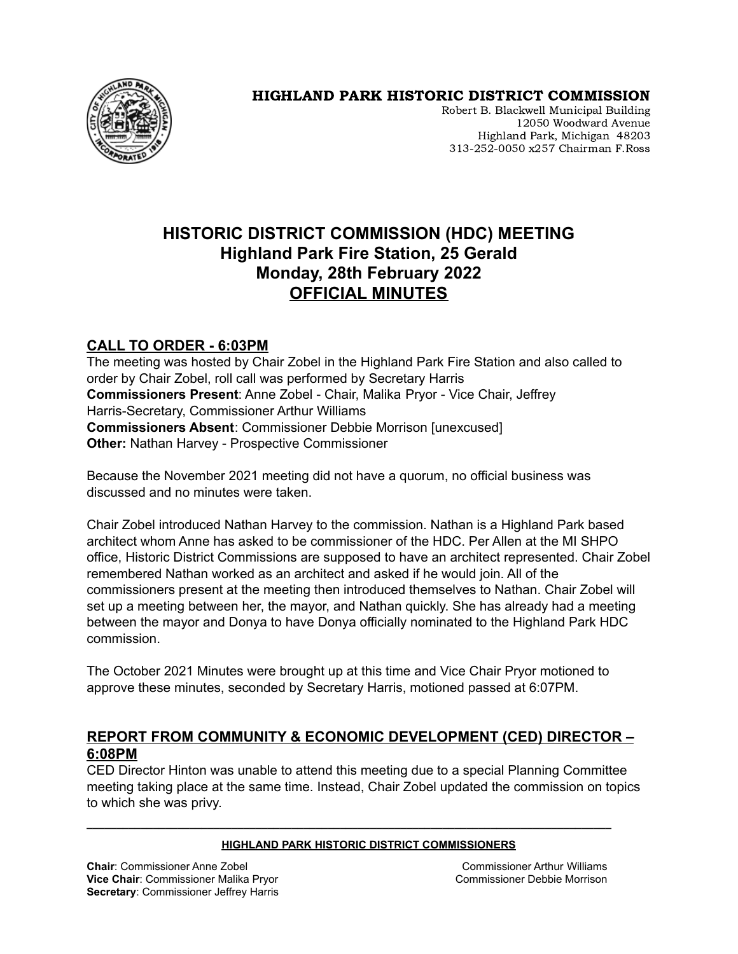

# HIGHLAND PARK HISTORIC DISTRICT COMMISSION

Robert B. Blackwell Municipal Building 12050 Woodward Avenue Highland Park, Michigan 48203 313-252-0050 x257 Chairman F.Ross

# **HISTORIC DISTRICT COMMISSION (HDC) MEETING Highland Park Fire Station, 25 Gerald Monday, 28th February 2022 OFFICIAL MINUTES**

# **CALL TO ORDER - 6:03PM**

The meeting was hosted by Chair Zobel in the Highland Park Fire Station and also called to order by Chair Zobel, roll call was performed by Secretary Harris **Commissioners Present**: Anne Zobel - Chair, Malika Pryor - Vice Chair, Jeffrey Harris-Secretary, Commissioner Arthur Williams **Commissioners Absent**: Commissioner Debbie Morrison [unexcused] **Other:** Nathan Harvey - Prospective Commissioner

Because the November 2021 meeting did not have a quorum, no official business was discussed and no minutes were taken.

Chair Zobel introduced Nathan Harvey to the commission. Nathan is a Highland Park based architect whom Anne has asked to be commissioner of the HDC. Per Allen at the MI SHPO office, Historic District Commissions are supposed to have an architect represented. Chair Zobel remembered Nathan worked as an architect and asked if he would join. All of the commissioners present at the meeting then introduced themselves to Nathan. Chair Zobel will set up a meeting between her, the mayor, and Nathan quickly. She has already had a meeting between the mayor and Donya to have Donya officially nominated to the Highland Park HDC commission.

The October 2021 Minutes were brought up at this time and Vice Chair Pryor motioned to approve these minutes, seconded by Secretary Harris, motioned passed at 6:07PM.

### **REPORT FROM COMMUNITY & ECONOMIC DEVELOPMENT (CED) DIRECTOR – 6:08PM**

CED Director Hinton was unable to attend this meeting due to a special Planning Committee meeting taking place at the same time. Instead, Chair Zobel updated the commission on topics to which she was privy.

#### **HIGHLAND PARK HISTORIC DISTRICT COMMISSIONERS**

**\_\_\_\_\_\_\_\_\_\_\_\_\_\_\_\_\_\_\_\_\_\_\_\_\_\_\_\_\_\_\_\_\_\_\_\_\_\_\_\_\_\_\_\_\_\_\_\_\_\_\_\_\_\_\_\_\_\_\_\_\_\_\_\_\_\_\_\_\_\_\_\_\_\_\_\_\_\_\_\_\_\_\_\_\_\_\_**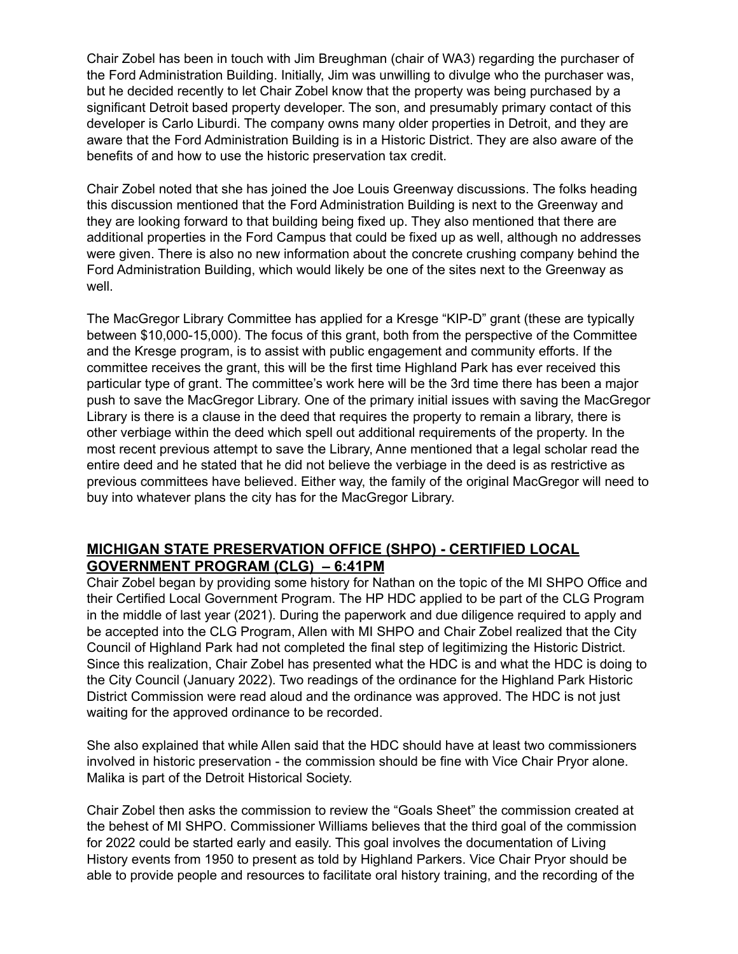Chair Zobel has been in touch with Jim Breughman (chair of WA3) regarding the purchaser of the Ford Administration Building. Initially, Jim was unwilling to divulge who the purchaser was, but he decided recently to let Chair Zobel know that the property was being purchased by a significant Detroit based property developer. The son, and presumably primary contact of this developer is Carlo Liburdi. The company owns many older properties in Detroit, and they are aware that the Ford Administration Building is in a Historic District. They are also aware of the benefits of and how to use the historic preservation tax credit.

Chair Zobel noted that she has joined the Joe Louis Greenway discussions. The folks heading this discussion mentioned that the Ford Administration Building is next to the Greenway and they are looking forward to that building being fixed up. They also mentioned that there are additional properties in the Ford Campus that could be fixed up as well, although no addresses were given. There is also no new information about the concrete crushing company behind the Ford Administration Building, which would likely be one of the sites next to the Greenway as well.

The MacGregor Library Committee has applied for a Kresge "KIP-D" grant (these are typically between \$10,000-15,000). The focus of this grant, both from the perspective of the Committee and the Kresge program, is to assist with public engagement and community efforts. If the committee receives the grant, this will be the first time Highland Park has ever received this particular type of grant. The committee's work here will be the 3rd time there has been a major push to save the MacGregor Library. One of the primary initial issues with saving the MacGregor Library is there is a clause in the deed that requires the property to remain a library, there is other verbiage within the deed which spell out additional requirements of the property. In the most recent previous attempt to save the Library, Anne mentioned that a legal scholar read the entire deed and he stated that he did not believe the verbiage in the deed is as restrictive as previous committees have believed. Either way, the family of the original MacGregor will need to buy into whatever plans the city has for the MacGregor Library.

### **MICHIGAN STATE PRESERVATION OFFICE (SHPO) - CERTIFIED LOCAL GOVERNMENT PROGRAM (CLG) – 6:41PM**

Chair Zobel began by providing some history for Nathan on the topic of the MI SHPO Office and their Certified Local Government Program. The HP HDC applied to be part of the CLG Program in the middle of last year (2021). During the paperwork and due diligence required to apply and be accepted into the CLG Program, Allen with MI SHPO and Chair Zobel realized that the City Council of Highland Park had not completed the final step of legitimizing the Historic District. Since this realization, Chair Zobel has presented what the HDC is and what the HDC is doing to the City Council (January 2022). Two readings of the ordinance for the Highland Park Historic District Commission were read aloud and the ordinance was approved. The HDC is not just waiting for the approved ordinance to be recorded.

She also explained that while Allen said that the HDC should have at least two commissioners involved in historic preservation - the commission should be fine with Vice Chair Pryor alone. Malika is part of the Detroit Historical Society.

Chair Zobel then asks the commission to review the "Goals Sheet" the commission created at the behest of MI SHPO. Commissioner Williams believes that the third goal of the commission for 2022 could be started early and easily. This goal involves the documentation of Living History events from 1950 to present as told by Highland Parkers. Vice Chair Pryor should be able to provide people and resources to facilitate oral history training, and the recording of the